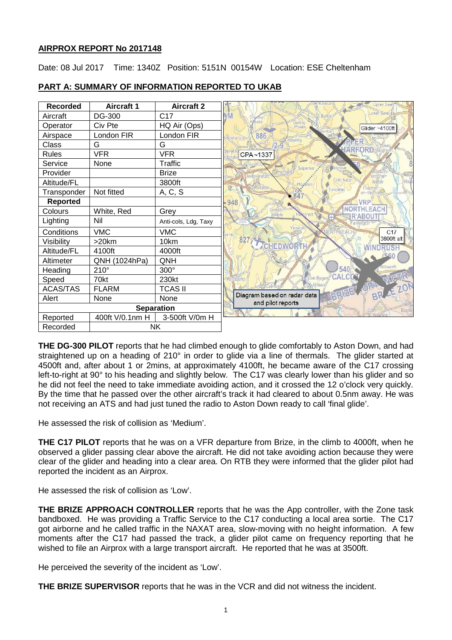# **AIRPROX REPORT No 2017148**

Date: 08 Jul 2017 Time: 1340Z Position: 5151N 00154W Location: ESE Cheltenham



# **PART A: SUMMARY OF INFORMATION REPORTED TO UKAB**

**THE DG-300 PILOT** reports that he had climbed enough to glide comfortably to Aston Down, and had straightened up on a heading of 210° in order to glide via a line of thermals. The glider started at 4500ft and, after about 1 or 2mins, at approximately 4100ft, he became aware of the C17 crossing left-to-right at 90° to his heading and slightly below. The C17 was clearly lower than his glider and so he did not feel the need to take immediate avoiding action, and it crossed the 12 o'clock very quickly. By the time that he passed over the other aircraft's track it had cleared to about 0.5nm away. He was not receiving an ATS and had just tuned the radio to Aston Down ready to call 'final glide'.

He assessed the risk of collision as 'Medium'.

**THE C17 PILOT** reports that he was on a VFR departure from Brize, in the climb to 4000ft, when he observed a glider passing clear above the aircraft. He did not take avoiding action because they were clear of the glider and heading into a clear area. On RTB they were informed that the glider pilot had reported the incident as an Airprox.

He assessed the risk of collision as 'Low'.

**THE BRIZE APPROACH CONTROLLER** reports that he was the App controller, with the Zone task bandboxed. He was providing a Traffic Service to the C17 conducting a local area sortie. The C17 got airborne and he called traffic in the NAXAT area, slow-moving with no height information. A few moments after the C17 had passed the track, a glider pilot came on frequency reporting that he wished to file an Airprox with a large transport aircraft. He reported that he was at 3500ft.

He perceived the severity of the incident as 'Low'.

**THE BRIZE SUPERVISOR** reports that he was in the VCR and did not witness the incident.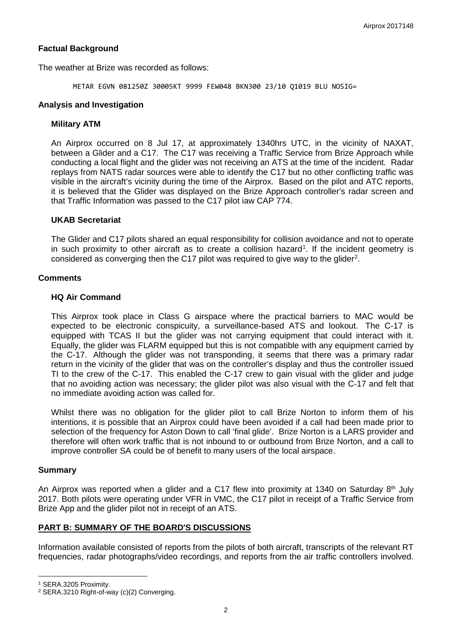# **Factual Background**

The weather at Brize was recorded as follows:

METAR EGVN 081250Z 30005KT 9999 FEW048 BKN300 23/10 Q1019 BLU NOSIG=

### **Analysis and Investigation**

### **Military ATM**

An Airprox occurred on 8 Jul 17, at approximately 1340hrs UTC, in the vicinity of NAXAT, between a Glider and a C17. The C17 was receiving a Traffic Service from Brize Approach while conducting a local flight and the glider was not receiving an ATS at the time of the incident. Radar replays from NATS radar sources were able to identify the C17 but no other conflicting traffic was visible in the aircraft's vicinity during the time of the Airprox. Based on the pilot and ATC reports, it is believed that the Glider was displayed on the Brize Approach controller's radar screen and that Traffic Information was passed to the C17 pilot iaw CAP 774.

#### **UKAB Secretariat**

The Glider and C17 pilots shared an equal responsibility for collision avoidance and not to operate in such proximity to other aircraft as to create a collision hazard<sup>[1](#page-1-0)</sup>. If the incident geometry is considered as converging then the C17 pilot was required to give way to the glider<sup>[2](#page-1-1)</sup>.

#### **Comments**

### **HQ Air Command**

This Airprox took place in Class G airspace where the practical barriers to MAC would be expected to be electronic conspicuity, a surveillance-based ATS and lookout. The C-17 is equipped with TCAS II but the glider was not carrying equipment that could interact with it. Equally, the glider was FLARM equipped but this is not compatible with any equipment carried by the C-17. Although the glider was not transponding, it seems that there was a primary radar return in the vicinity of the glider that was on the controller's display and thus the controller issued TI to the crew of the C-17. This enabled the C-17 crew to gain visual with the glider and judge that no avoiding action was necessary; the glider pilot was also visual with the C-17 and felt that no immediate avoiding action was called for.

Whilst there was no obligation for the glider pilot to call Brize Norton to inform them of his intentions, it is possible that an Airprox could have been avoided if a call had been made prior to selection of the frequency for Aston Down to call 'final glide'. Brize Norton is a LARS provider and therefore will often work traffic that is not inbound to or outbound from Brize Norton, and a call to improve controller SA could be of benefit to many users of the local airspace.

#### **Summary**

An Airprox was reported when a glider and a C17 flew into proximity at 1340 on Saturday 8<sup>th</sup> July 2017. Both pilots were operating under VFR in VMC, the C17 pilot in receipt of a Traffic Service from Brize App and the glider pilot not in receipt of an ATS.

## **PART B: SUMMARY OF THE BOARD'S DISCUSSIONS**

Information available consisted of reports from the pilots of both aircraft, transcripts of the relevant RT frequencies, radar photographs/video recordings, and reports from the air traffic controllers involved.

l

<span id="page-1-0"></span><sup>1</sup> SERA.3205 Proximity.

<span id="page-1-1"></span><sup>2</sup> SERA.3210 Right-of-way (c)(2) Converging.